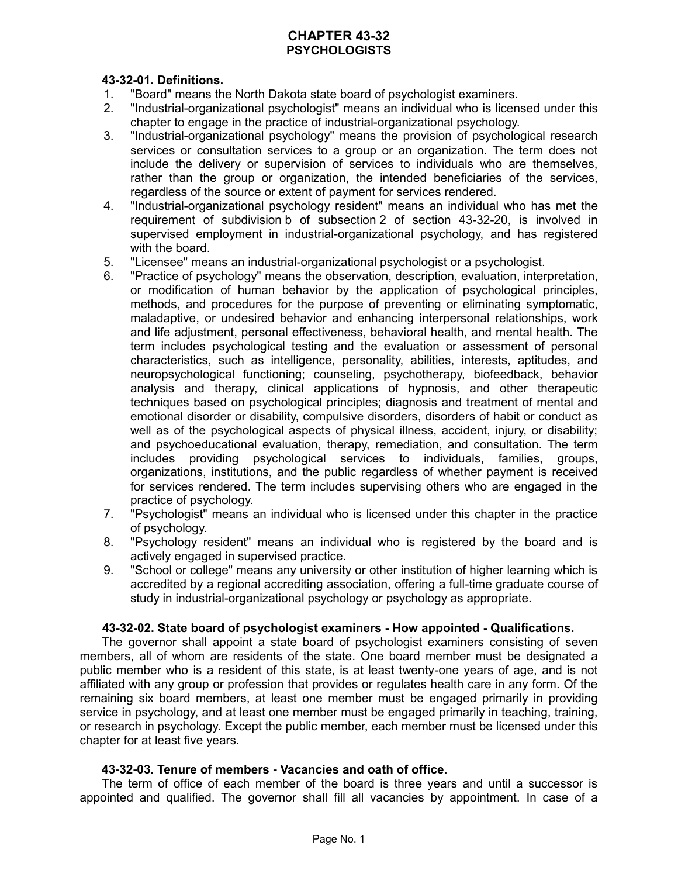# **CHAPTER 43-32 PSYCHOLOGISTS**

# **43-32-01. Definitions.**

- 1. "Board" means the North Dakota state board of psychologist examiners.
- 2. "Industrial-organizational psychologist" means an individual who is licensed under this chapter to engage in the practice of industrial-organizational psychology.
- 3. "Industrial-organizational psychology" means the provision of psychological research services or consultation services to a group or an organization. The term does not include the delivery or supervision of services to individuals who are themselves, rather than the group or organization, the intended beneficiaries of the services, regardless of the source or extent of payment for services rendered.
- 4. "Industrial-organizational psychology resident" means an individual who has met the requirement of subdivision b of subsection 2 of section 43-32-20, is involved in supervised employment in industrial-organizational psychology, and has registered with the board.
- 5. "Licensee" means an industrial-organizational psychologist or a psychologist.
- 6. "Practice of psychology" means the observation, description, evaluation, interpretation, or modification of human behavior by the application of psychological principles, methods, and procedures for the purpose of preventing or eliminating symptomatic, maladaptive, or undesired behavior and enhancing interpersonal relationships, work and life adjustment, personal effectiveness, behavioral health, and mental health. The term includes psychological testing and the evaluation or assessment of personal characteristics, such as intelligence, personality, abilities, interests, aptitudes, and neuropsychological functioning; counseling, psychotherapy, biofeedback, behavior analysis and therapy, clinical applications of hypnosis, and other therapeutic techniques based on psychological principles; diagnosis and treatment of mental and emotional disorder or disability, compulsive disorders, disorders of habit or conduct as well as of the psychological aspects of physical illness, accident, injury, or disability; and psychoeducational evaluation, therapy, remediation, and consultation. The term includes providing psychological services to individuals, families, groups, organizations, institutions, and the public regardless of whether payment is received for services rendered. The term includes supervising others who are engaged in the practice of psychology.
- 7. "Psychologist" means an individual who is licensed under this chapter in the practice of psychology.
- 8. "Psychology resident" means an individual who is registered by the board and is actively engaged in supervised practice.
- 9. "School or college" means any university or other institution of higher learning which is accredited by a regional accrediting association, offering a full-time graduate course of study in industrial-organizational psychology or psychology as appropriate.

# **43-32-02. State board of psychologist examiners - How appointed - Qualifications.**

The governor shall appoint a state board of psychologist examiners consisting of seven members, all of whom are residents of the state. One board member must be designated a public member who is a resident of this state, is at least twenty-one years of age, and is not affiliated with any group or profession that provides or regulates health care in any form. Of the remaining six board members, at least one member must be engaged primarily in providing service in psychology, and at least one member must be engaged primarily in teaching, training, or research in psychology. Except the public member, each member must be licensed under this chapter for at least five years.

# **43-32-03. Tenure of members - Vacancies and oath of office.**

The term of office of each member of the board is three years and until a successor is appointed and qualified. The governor shall fill all vacancies by appointment. In case of a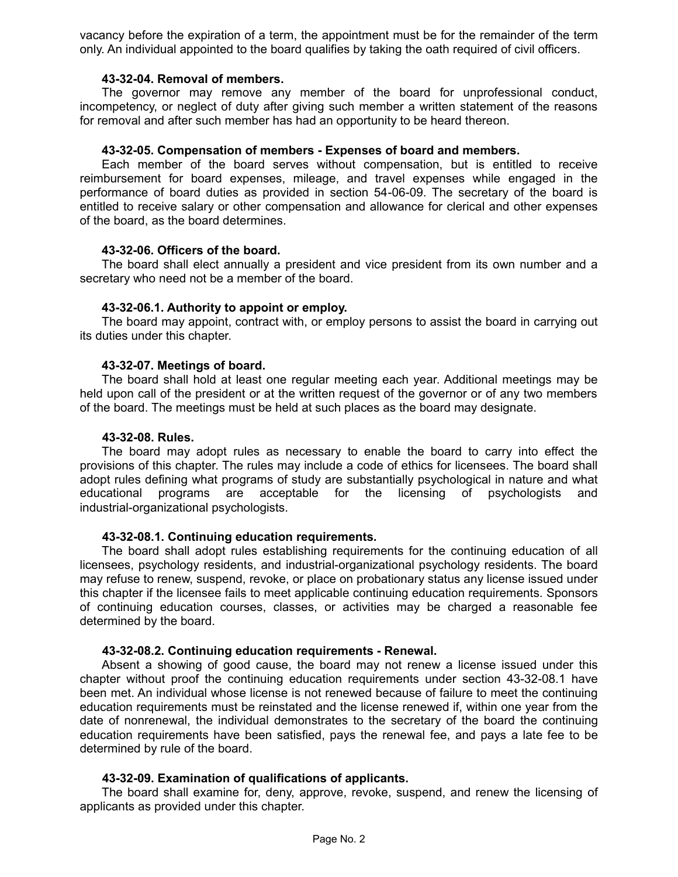vacancy before the expiration of a term, the appointment must be for the remainder of the term only. An individual appointed to the board qualifies by taking the oath required of civil officers.

#### **43-32-04. Removal of members.**

The governor may remove any member of the board for unprofessional conduct, incompetency, or neglect of duty after giving such member a written statement of the reasons for removal and after such member has had an opportunity to be heard thereon.

## **43-32-05. Compensation of members - Expenses of board and members.**

Each member of the board serves without compensation, but is entitled to receive reimbursement for board expenses, mileage, and travel expenses while engaged in the performance of board duties as provided in section 54-06-09. The secretary of the board is entitled to receive salary or other compensation and allowance for clerical and other expenses of the board, as the board determines.

## **43-32-06. Officers of the board.**

The board shall elect annually a president and vice president from its own number and a secretary who need not be a member of the board.

## **43-32-06.1. Authority to appoint or employ.**

The board may appoint, contract with, or employ persons to assist the board in carrying out its duties under this chapter.

## **43-32-07. Meetings of board.**

The board shall hold at least one regular meeting each year. Additional meetings may be held upon call of the president or at the written request of the governor or of any two members of the board. The meetings must be held at such places as the board may designate.

#### **43-32-08. Rules.**

The board may adopt rules as necessary to enable the board to carry into effect the provisions of this chapter. The rules may include a code of ethics for licensees. The board shall adopt rules defining what programs of study are substantially psychological in nature and what educational programs are acceptable for the licensing of psychologists and industrial-organizational psychologists.

## **43-32-08.1. Continuing education requirements.**

The board shall adopt rules establishing requirements for the continuing education of all licensees, psychology residents, and industrial-organizational psychology residents. The board may refuse to renew, suspend, revoke, or place on probationary status any license issued under this chapter if the licensee fails to meet applicable continuing education requirements. Sponsors of continuing education courses, classes, or activities may be charged a reasonable fee determined by the board.

## **43-32-08.2. Continuing education requirements - Renewal.**

Absent a showing of good cause, the board may not renew a license issued under this chapter without proof the continuing education requirements under section 43-32-08.1 have been met. An individual whose license is not renewed because of failure to meet the continuing education requirements must be reinstated and the license renewed if, within one year from the date of nonrenewal, the individual demonstrates to the secretary of the board the continuing education requirements have been satisfied, pays the renewal fee, and pays a late fee to be determined by rule of the board.

## **43-32-09. Examination of qualifications of applicants.**

The board shall examine for, deny, approve, revoke, suspend, and renew the licensing of applicants as provided under this chapter.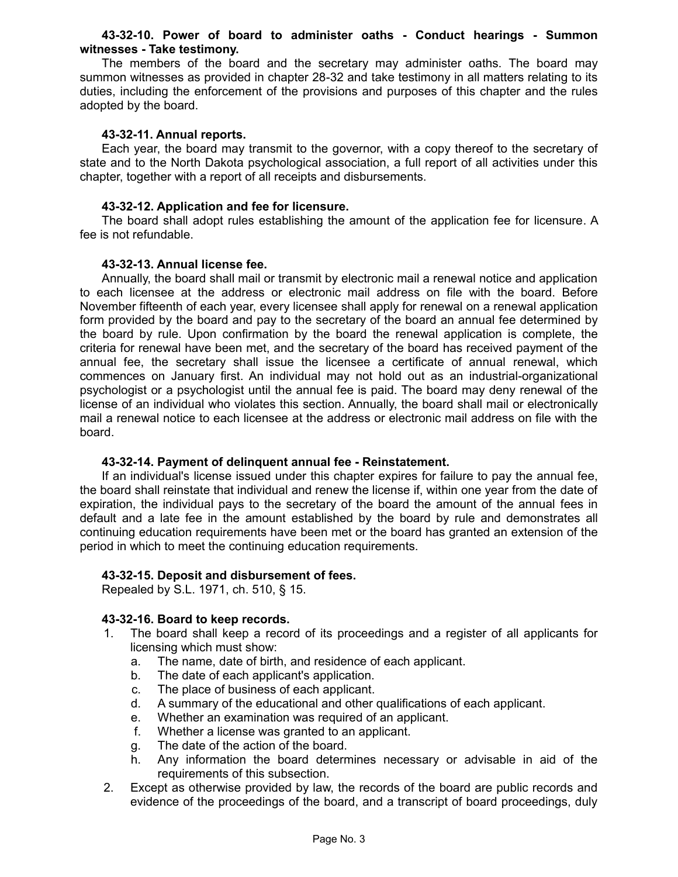## **43-32-10. Power of board to administer oaths - Conduct hearings - Summon witnesses - Take testimony.**

The members of the board and the secretary may administer oaths. The board may summon witnesses as provided in chapter 28-32 and take testimony in all matters relating to its duties, including the enforcement of the provisions and purposes of this chapter and the rules adopted by the board.

## **43-32-11. Annual reports.**

Each year, the board may transmit to the governor, with a copy thereof to the secretary of state and to the North Dakota psychological association, a full report of all activities under this chapter, together with a report of all receipts and disbursements.

## **43-32-12. Application and fee for licensure.**

The board shall adopt rules establishing the amount of the application fee for licensure. A fee is not refundable.

## **43-32-13. Annual license fee.**

Annually, the board shall mail or transmit by electronic mail a renewal notice and application to each licensee at the address or electronic mail address on file with the board. Before November fifteenth of each year, every licensee shall apply for renewal on a renewal application form provided by the board and pay to the secretary of the board an annual fee determined by the board by rule. Upon confirmation by the board the renewal application is complete, the criteria for renewal have been met, and the secretary of the board has received payment of the annual fee, the secretary shall issue the licensee a certificate of annual renewal, which commences on January first. An individual may not hold out as an industrial-organizational psychologist or a psychologist until the annual fee is paid. The board may deny renewal of the license of an individual who violates this section. Annually, the board shall mail or electronically mail a renewal notice to each licensee at the address or electronic mail address on file with the board.

## **43-32-14. Payment of delinquent annual fee - Reinstatement.**

If an individual's license issued under this chapter expires for failure to pay the annual fee, the board shall reinstate that individual and renew the license if, within one year from the date of expiration, the individual pays to the secretary of the board the amount of the annual fees in default and a late fee in the amount established by the board by rule and demonstrates all continuing education requirements have been met or the board has granted an extension of the period in which to meet the continuing education requirements.

## **43-32-15. Deposit and disbursement of fees.**

Repealed by S.L. 1971, ch. 510, § 15.

# **43-32-16. Board to keep records.**

- 1. The board shall keep a record of its proceedings and a register of all applicants for licensing which must show:
	- a. The name, date of birth, and residence of each applicant.
	- b. The date of each applicant's application.
	- c. The place of business of each applicant.
	- d. A summary of the educational and other qualifications of each applicant.
	- e. Whether an examination was required of an applicant.
	- f. Whether a license was granted to an applicant.
	- g. The date of the action of the board.
	- h. Any information the board determines necessary or advisable in aid of the requirements of this subsection.
- 2. Except as otherwise provided by law, the records of the board are public records and evidence of the proceedings of the board, and a transcript of board proceedings, duly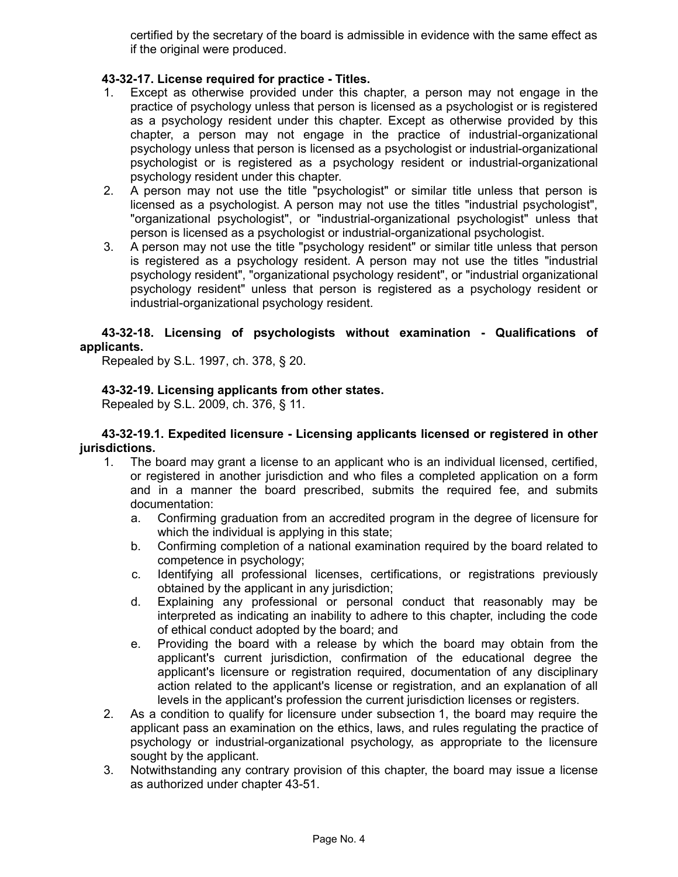certified by the secretary of the board is admissible in evidence with the same effect as if the original were produced.

# **43-32-17. License required for practice - Titles.**

- 1. Except as otherwise provided under this chapter, a person may not engage in the practice of psychology unless that person is licensed as a psychologist or is registered as a psychology resident under this chapter. Except as otherwise provided by this chapter, a person may not engage in the practice of industrial-organizational psychology unless that person is licensed as a psychologist or industrial-organizational psychologist or is registered as a psychology resident or industrial-organizational psychology resident under this chapter.
- 2. A person may not use the title "psychologist" or similar title unless that person is licensed as a psychologist. A person may not use the titles "industrial psychologist", "organizational psychologist", or "industrial-organizational psychologist" unless that person is licensed as a psychologist or industrial-organizational psychologist.
- 3. A person may not use the title "psychology resident" or similar title unless that person is registered as a psychology resident. A person may not use the titles "industrial psychology resident", "organizational psychology resident", or "industrial organizational psychology resident" unless that person is registered as a psychology resident or industrial-organizational psychology resident.

# **43-32-18. Licensing of psychologists without examination - Qualifications of applicants.**

Repealed by S.L. 1997, ch. 378, § 20.

# **43-32-19. Licensing applicants from other states.**

Repealed by S.L. 2009, ch. 376, § 11.

## **43-32-19.1. Expedited licensure - Licensing applicants licensed or registered in other jurisdictions.**

- 1. The board may grant a license to an applicant who is an individual licensed, certified, or registered in another jurisdiction and who files a completed application on a form and in a manner the board prescribed, submits the required fee, and submits documentation:
	- a. Confirming graduation from an accredited program in the degree of licensure for which the individual is applying in this state;
	- b. Confirming completion of a national examination required by the board related to competence in psychology;
	- c. Identifying all professional licenses, certifications, or registrations previously obtained by the applicant in any jurisdiction;
	- d. Explaining any professional or personal conduct that reasonably may be interpreted as indicating an inability to adhere to this chapter, including the code of ethical conduct adopted by the board; and
	- e. Providing the board with a release by which the board may obtain from the applicant's current jurisdiction, confirmation of the educational degree the applicant's licensure or registration required, documentation of any disciplinary action related to the applicant's license or registration, and an explanation of all levels in the applicant's profession the current jurisdiction licenses or registers.
- 2. As a condition to qualify for licensure under subsection 1, the board may require the applicant pass an examination on the ethics, laws, and rules regulating the practice of psychology or industrial-organizational psychology, as appropriate to the licensure sought by the applicant.
- 3. Notwithstanding any contrary provision of this chapter, the board may issue a license as authorized under chapter 43-51.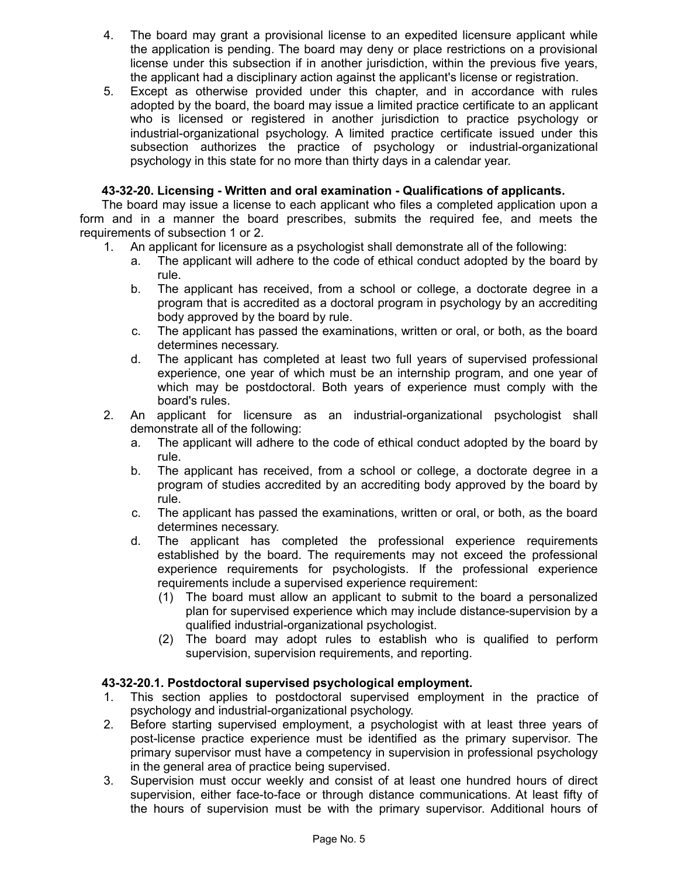- 4. The board may grant a provisional license to an expedited licensure applicant while the application is pending. The board may deny or place restrictions on a provisional license under this subsection if in another jurisdiction, within the previous five years, the applicant had a disciplinary action against the applicant's license or registration.
- 5. Except as otherwise provided under this chapter, and in accordance with rules adopted by the board, the board may issue a limited practice certificate to an applicant who is licensed or registered in another jurisdiction to practice psychology or industrial-organizational psychology. A limited practice certificate issued under this subsection authorizes the practice of psychology or industrial-organizational psychology in this state for no more than thirty days in a calendar year.

# **43-32-20. Licensing - Written and oral examination - Qualifications of applicants.**

The board may issue a license to each applicant who files a completed application upon a form and in a manner the board prescribes, submits the required fee, and meets the requirements of subsection 1 or 2.

- 1. An applicant for licensure as a psychologist shall demonstrate all of the following:
	- a. The applicant will adhere to the code of ethical conduct adopted by the board by rule.
	- b. The applicant has received, from a school or college, a doctorate degree in a program that is accredited as a doctoral program in psychology by an accrediting body approved by the board by rule.
	- c. The applicant has passed the examinations, written or oral, or both, as the board determines necessary.
	- d. The applicant has completed at least two full years of supervised professional experience, one year of which must be an internship program, and one year of which may be postdoctoral. Both years of experience must comply with the board's rules.
- 2. An applicant for licensure as an industrial-organizational psychologist shall demonstrate all of the following:
	- a. The applicant will adhere to the code of ethical conduct adopted by the board by rule.
	- b. The applicant has received, from a school or college, a doctorate degree in a program of studies accredited by an accrediting body approved by the board by rule.
	- c. The applicant has passed the examinations, written or oral, or both, as the board determines necessary.
	- d. The applicant has completed the professional experience requirements established by the board. The requirements may not exceed the professional experience requirements for psychologists. If the professional experience requirements include a supervised experience requirement:
		- (1) The board must allow an applicant to submit to the board a personalized plan for supervised experience which may include distance-supervision by a qualified industrial-organizational psychologist.
		- (2) The board may adopt rules to establish who is qualified to perform supervision, supervision requirements, and reporting.

# **43-32-20.1. Postdoctoral supervised psychological employment.**

- 1. This section applies to postdoctoral supervised employment in the practice of psychology and industrial-organizational psychology.
- 2. Before starting supervised employment, a psychologist with at least three years of post-license practice experience must be identified as the primary supervisor. The primary supervisor must have a competency in supervision in professional psychology in the general area of practice being supervised.
- 3. Supervision must occur weekly and consist of at least one hundred hours of direct supervision, either face-to-face or through distance communications. At least fifty of the hours of supervision must be with the primary supervisor. Additional hours of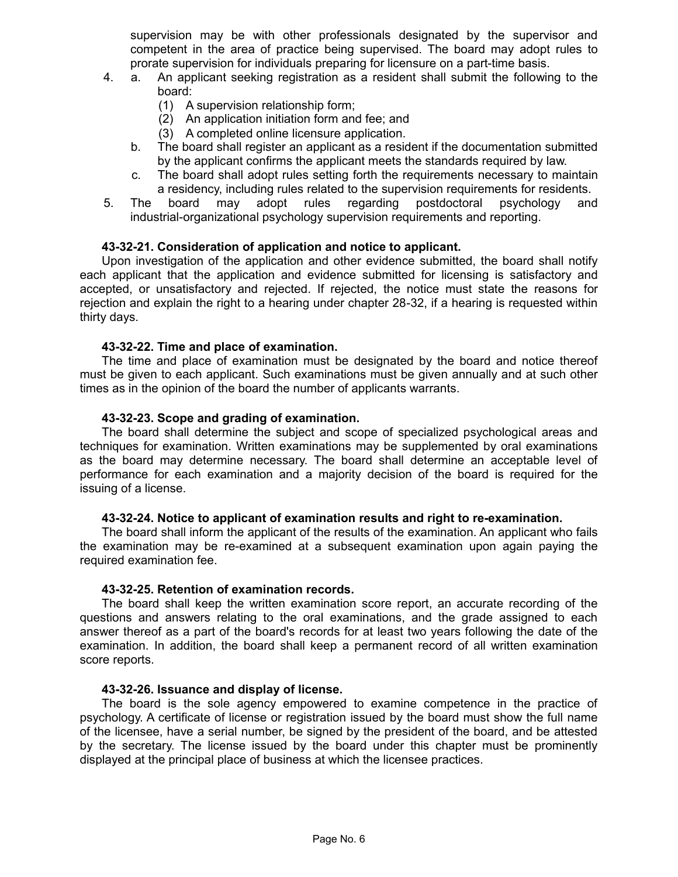supervision may be with other professionals designated by the supervisor and competent in the area of practice being supervised. The board may adopt rules to prorate supervision for individuals preparing for licensure on a part-time basis.

- 4. a. An applicant seeking registration as a resident shall submit the following to the board:
	- (1) A supervision relationship form;
	- (2) An application initiation form and fee; and
	- (3) A completed online licensure application.
	- b. The board shall register an applicant as a resident if the documentation submitted by the applicant confirms the applicant meets the standards required by law.
	- c. The board shall adopt rules setting forth the requirements necessary to maintain a residency, including rules related to the supervision requirements for residents.
- 5. The board may adopt rules regarding postdoctoral psychology and industrial-organizational psychology supervision requirements and reporting.

## **43-32-21. Consideration of application and notice to applicant.**

Upon investigation of the application and other evidence submitted, the board shall notify each applicant that the application and evidence submitted for licensing is satisfactory and accepted, or unsatisfactory and rejected. If rejected, the notice must state the reasons for rejection and explain the right to a hearing under chapter 28-32, if a hearing is requested within thirty days.

## **43-32-22. Time and place of examination.**

The time and place of examination must be designated by the board and notice thereof must be given to each applicant. Such examinations must be given annually and at such other times as in the opinion of the board the number of applicants warrants.

## **43-32-23. Scope and grading of examination.**

The board shall determine the subject and scope of specialized psychological areas and techniques for examination. Written examinations may be supplemented by oral examinations as the board may determine necessary. The board shall determine an acceptable level of performance for each examination and a majority decision of the board is required for the issuing of a license.

## **43-32-24. Notice to applicant of examination results and right to re-examination.**

The board shall inform the applicant of the results of the examination. An applicant who fails the examination may be re-examined at a subsequent examination upon again paying the required examination fee.

## **43-32-25. Retention of examination records.**

The board shall keep the written examination score report, an accurate recording of the questions and answers relating to the oral examinations, and the grade assigned to each answer thereof as a part of the board's records for at least two years following the date of the examination. In addition, the board shall keep a permanent record of all written examination score reports.

## **43-32-26. Issuance and display of license.**

The board is the sole agency empowered to examine competence in the practice of psychology. A certificate of license or registration issued by the board must show the full name of the licensee, have a serial number, be signed by the president of the board, and be attested by the secretary. The license issued by the board under this chapter must be prominently displayed at the principal place of business at which the licensee practices.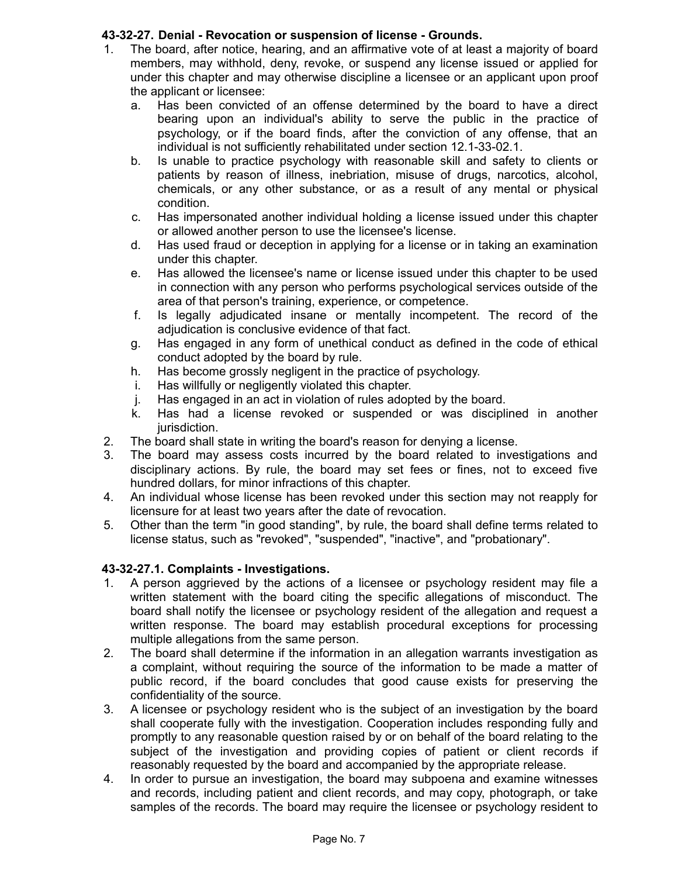# **43-32-27. Denial - Revocation or suspension of license - Grounds.**

- 1. The board, after notice, hearing, and an affirmative vote of at least a majority of board members, may withhold, deny, revoke, or suspend any license issued or applied for under this chapter and may otherwise discipline a licensee or an applicant upon proof the applicant or licensee:
	- a. Has been convicted of an offense determined by the board to have a direct bearing upon an individual's ability to serve the public in the practice of psychology, or if the board finds, after the conviction of any offense, that an individual is not sufficiently rehabilitated under section 12.1-33-02.1.
	- b. Is unable to practice psychology with reasonable skill and safety to clients or patients by reason of illness, inebriation, misuse of drugs, narcotics, alcohol, chemicals, or any other substance, or as a result of any mental or physical condition.
	- c. Has impersonated another individual holding a license issued under this chapter or allowed another person to use the licensee's license.
	- d. Has used fraud or deception in applying for a license or in taking an examination under this chapter.
	- e. Has allowed the licensee's name or license issued under this chapter to be used in connection with any person who performs psychological services outside of the area of that person's training, experience, or competence.
	- f. Is legally adjudicated insane or mentally incompetent. The record of the adjudication is conclusive evidence of that fact.
	- g. Has engaged in any form of unethical conduct as defined in the code of ethical conduct adopted by the board by rule.
	- h. Has become grossly negligent in the practice of psychology.
	- i. Has willfully or negligently violated this chapter.
	- j. Has engaged in an act in violation of rules adopted by the board.
	- k. Has had a license revoked or suspended or was disciplined in another jurisdiction.
- 2. The board shall state in writing the board's reason for denying a license.
- 3. The board may assess costs incurred by the board related to investigations and disciplinary actions. By rule, the board may set fees or fines, not to exceed five hundred dollars, for minor infractions of this chapter.
- 4. An individual whose license has been revoked under this section may not reapply for licensure for at least two years after the date of revocation.
- 5. Other than the term "in good standing", by rule, the board shall define terms related to license status, such as "revoked", "suspended", "inactive", and "probationary".

# **43-32-27.1. Complaints - Investigations.**

- 1. A person aggrieved by the actions of a licensee or psychology resident may file a written statement with the board citing the specific allegations of misconduct. The board shall notify the licensee or psychology resident of the allegation and request a written response. The board may establish procedural exceptions for processing multiple allegations from the same person.
- 2. The board shall determine if the information in an allegation warrants investigation as a complaint, without requiring the source of the information to be made a matter of public record, if the board concludes that good cause exists for preserving the confidentiality of the source.
- 3. A licensee or psychology resident who is the subject of an investigation by the board shall cooperate fully with the investigation. Cooperation includes responding fully and promptly to any reasonable question raised by or on behalf of the board relating to the subject of the investigation and providing copies of patient or client records if reasonably requested by the board and accompanied by the appropriate release.
- 4. In order to pursue an investigation, the board may subpoena and examine witnesses and records, including patient and client records, and may copy, photograph, or take samples of the records. The board may require the licensee or psychology resident to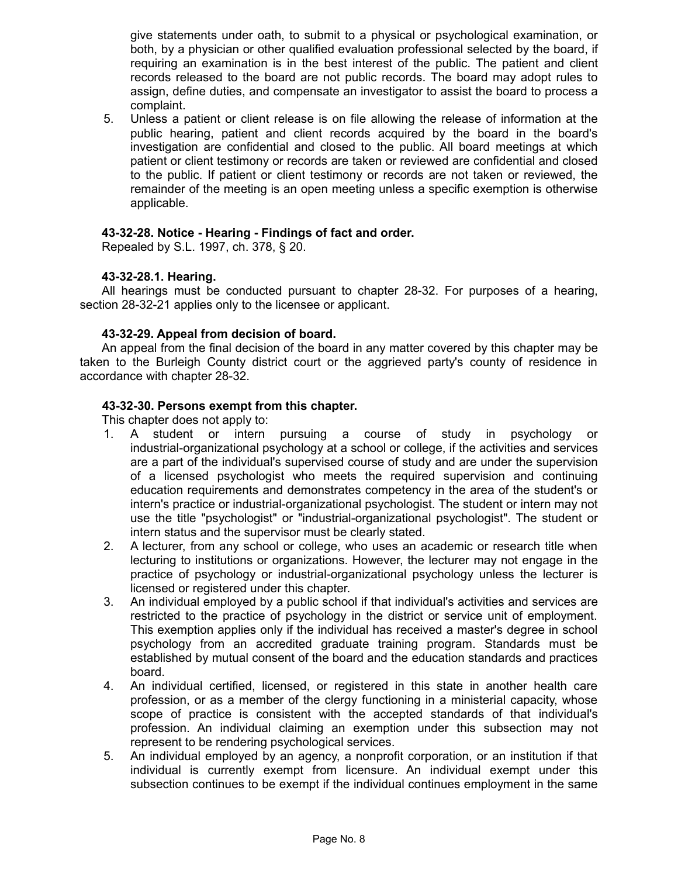give statements under oath, to submit to a physical or psychological examination, or both, by a physician or other qualified evaluation professional selected by the board, if requiring an examination is in the best interest of the public. The patient and client records released to the board are not public records. The board may adopt rules to assign, define duties, and compensate an investigator to assist the board to process a complaint.

5. Unless a patient or client release is on file allowing the release of information at the public hearing, patient and client records acquired by the board in the board's investigation are confidential and closed to the public. All board meetings at which patient or client testimony or records are taken or reviewed are confidential and closed to the public. If patient or client testimony or records are not taken or reviewed, the remainder of the meeting is an open meeting unless a specific exemption is otherwise applicable.

## **43-32-28. Notice - Hearing - Findings of fact and order.**

Repealed by S.L. 1997, ch. 378, § 20.

## **43-32-28.1. Hearing.**

All hearings must be conducted pursuant to chapter 28-32. For purposes of a hearing, section 28-32-21 applies only to the licensee or applicant.

## **43-32-29. Appeal from decision of board.**

An appeal from the final decision of the board in any matter covered by this chapter may be taken to the Burleigh County district court or the aggrieved party's county of residence in accordance with chapter 28-32.

## **43-32-30. Persons exempt from this chapter.**

This chapter does not apply to:

- 1. A student or intern pursuing a course of study in psychology or industrial-organizational psychology at a school or college, if the activities and services are a part of the individual's supervised course of study and are under the supervision of a licensed psychologist who meets the required supervision and continuing education requirements and demonstrates competency in the area of the student's or intern's practice or industrial-organizational psychologist. The student or intern may not use the title "psychologist" or "industrial-organizational psychologist". The student or intern status and the supervisor must be clearly stated.
- 2. A lecturer, from any school or college, who uses an academic or research title when lecturing to institutions or organizations. However, the lecturer may not engage in the practice of psychology or industrial-organizational psychology unless the lecturer is licensed or registered under this chapter.
- 3. An individual employed by a public school if that individual's activities and services are restricted to the practice of psychology in the district or service unit of employment. This exemption applies only if the individual has received a master's degree in school psychology from an accredited graduate training program. Standards must be established by mutual consent of the board and the education standards and practices board.
- 4. An individual certified, licensed, or registered in this state in another health care profession, or as a member of the clergy functioning in a ministerial capacity, whose scope of practice is consistent with the accepted standards of that individual's profession. An individual claiming an exemption under this subsection may not represent to be rendering psychological services.
- 5. An individual employed by an agency, a nonprofit corporation, or an institution if that individual is currently exempt from licensure. An individual exempt under this subsection continues to be exempt if the individual continues employment in the same